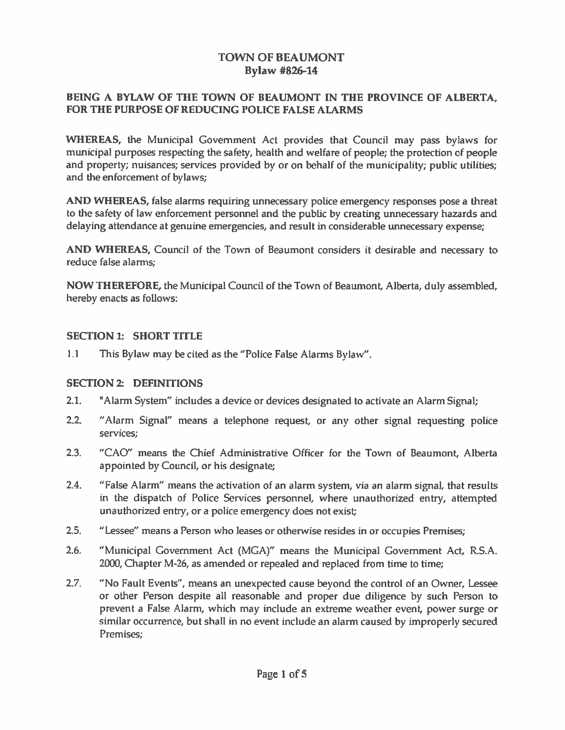## TOWN OF BEAUMONT Bylaw #826-14

#### BEING A BYLAW OF THE TOWN OF BEAUMONT IN THE PROVINCE OF ALBERTA, FOR THE PURPOSE OF REDUCING POLICE FALSE ALARMS

WHEREAS, the Municipal Government Act provides that Council may pass bylaws for municipal purposes respecting the safety, health and welfare of people; the protection of people and property; nuisances; services provided by or on behalf of the municipality; public utilities; and the enforcement of bylaws;

AND WHEREAS, false alarms requiring unnecessary police emergency responses pose <sup>a</sup> threat to the safety of law enforcement personne<sup>l</sup> and the public by creating unnecessary hazards and delaying attendance at genuine emergencies, and result in considerable unnecessary expense;

AND WHEREAS, Council of the Town of Beaumont considers it desirable and necessary to reduce false alarms;

NOW THEREFORE, the Municipal Council of the Town of Beaumont, Alberta, duly assembled, hereby enacts as follows:

#### SECTION 1: SHORT TITLE

1.1 This Bylaw may be cited as the "Police False Alarms Bylaw".

#### SECTION 2: DEFINITIONS

- 2.1. "Alarm System" includes a device or devices designated to activate an Alarm Signal;
- 2.2. "Alarm Signal" means <sup>a</sup> telephone request, or any other signal requesting police services;
- 2.3. "CAO" means the Chief Administrative Officer for the Town of Beaumont, Alberta appointed by Council, or his designate;
- 2.4. "False Alarm" means the activation of an alarm system, via an alarm signal, that results in the dispatch of Police Services personnel, where unauthorized entry, attempted unauthorized entry, or <sup>a</sup> police emergency does not exist
- 2.5. "Lessee" means <sup>a</sup> Person who leases or otherwise resides in or occupies Premises;
- 2.6. "Municipal Government Act (MGA)" means the Municipal Government Act, R.S.A. 2000, Chapter M-26, as amended or repealed and replaced from time to time;
- 2.7. "No Fault Events", means an unexpected cause beyond the control of an Owner, Lessee or other Person despite all reasonable and proper due diligence by such Person to prevent a False Alarm, which may include an extreme weather event, power surge or similar occurrence, but shall in no event include an alarm caused by improperly secured Premises;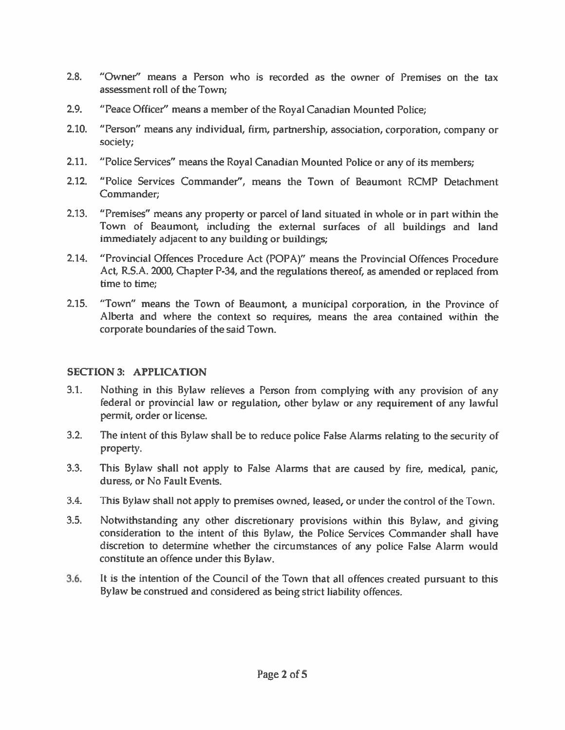- 2.8. "Owner" means <sup>a</sup> Person who is recorded as the owner of Premises on the tax assessment roll of the Town;
- 2.9. "Peace Officer" means <sup>a</sup> member of the Royal Canadian Mounted Police;
- 2.10. "Person" means any individual, firm, partnership, association, corporation, company or society;
- 2.11. "Police Services" means the Royal Canadian Mounted Police or any of its members;
- 2.12. "Police Services Commander", means the Town of Beaumont RCMP Detachment Commander;
- 2.13. "Premises" means any property or parce<sup>l</sup> of land situated in whole or in par<sup>t</sup> within the Town of Beaumont, including the external surfaces of all buildings and land immediately adjacent to any building or buildings;
- 2.14. "Provincial Qffences Procedure Act (POPA)" means the Provincial Offences Procedure Act, R.S.A. 2000, Chapter P-34, and the regulations thereof, as amended or replaced from time to time;
- 2.15. "Town" means the Town of Beaumont, <sup>a</sup> municipal corporation, in the Province of Alberta and where the context so requires, means the area contained within the corporate boundaries of the said Town.

## SECTION 3: APPLICATION

- 3.1. Nothing in this Bylaw relieves <sup>a</sup> Person from complying with any provision of any federal or provincial law or regulation, other bylaw or any requirement of any lawful permit, order or license.
- 3.2. The intent of this Bylaw shall be to reduce police False Alarms relating to the security of property.
- 3.3. This Bylaw shall not apply to False Alarms that are caused by fire, medical, panic, duress, or No Fault Events.
- 3.4. This Bylaw shall not apply to premises owned, leased, or under the control of the Town.
- 3.5. Notwithstanding any other discretionary provisions within this Bylaw, and giving consideration to the intent of this Bylaw, the Police Services Commander shall have discretion to determine whether the circumstances of any police False Alarm would constitute an offence under this Bylaw.
- 3.6. It is the intention of the Council of the Town that all offences created pursuan<sup>t</sup> to this Bylaw be construed and considered as being strict liability offences.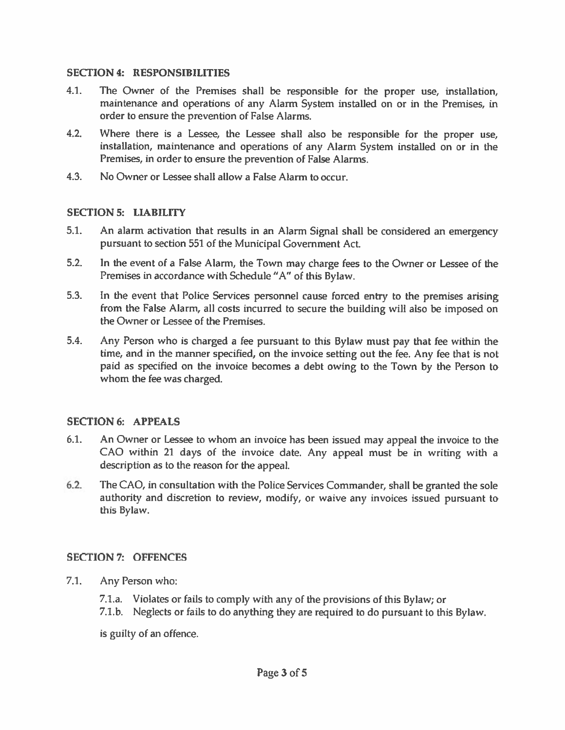#### SECTION 4: RESPONSIBILITIES

- 4.1. The Owner of the Premises shall be responsible for the proper use, installation, maintenance and operations of any Alarm System installed on or in the Premises, in order to ensure the prevention of False Alarms.
- 4.2. Where there is <sup>a</sup> Lessee, the Lessee shall also be responsible for the proper use, instaflation, maintenance and operations of any Alarm System installed on or in the Premises, in order to ensure the prevention of False Alarms.
- 4.3. No Owner or Lessee shall allow <sup>a</sup> False Alarm to occur.

## SECTION 5: LIABILITY

- 5.1. An alarm activation that results in an Alarm Signal shall be considered an emergency pursuan<sup>t</sup> to section 551 of the Municipal Government Act.
- 5.2. In the event of <sup>a</sup> False Alarm, the Town may charge fees to the Owner or Lessee of the Premises in accordance with Schedule "A" of this Bylaw.
- 5.3. In the event that Police Services personnel cause forced entry to the premises arising from the False Alarm, all costs incurred to secure the building will also be imposed on the Owner or Lessee of the Premises.
- 5.4. Any Person who is charged <sup>a</sup> fee pursuan<sup>t</sup> to this Bylaw must pay that fee within the time, and in the manner specified, on the invoice setting out the fee. Any fee that is not paid as specified on the invoice becomes <sup>a</sup> debt owing to the Town by the Person to whom the fee was charged.

## SECTION 6: APPEALS

- 6.1. An Owner or Lessee to whom an invoice has been issued may appeal the invoice to the CAO within <sup>21</sup> days of the invoice date. Any appea<sup>l</sup> must be in writing with <sup>a</sup> description as to the reason for the appeal.
- 6.2. The CAD, in consultation with the Police Services Commander, shall be granted the sole authority and discretion to review, modify, or waive any invoices issued pursuan<sup>t</sup> to this Bylaw.

## SECTION?: OFFENCES

- 7.1. Any Person who:
	- 7.1.a. Violates or fails to comply with any of the provisions of this Bylaw; or
	- 7.1.b. Neglects or fails to do anything they are required to do pursuan<sup>t</sup> to this Bylaw.

is guilty of an offence.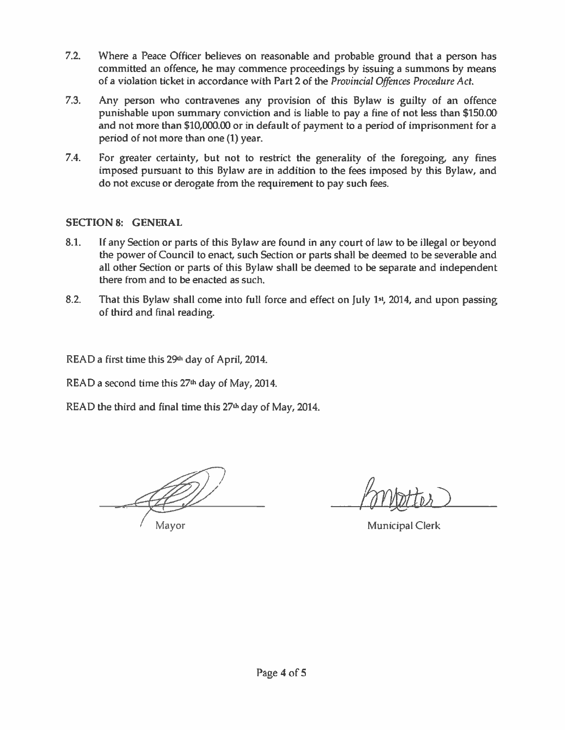- 7.2. Where <sup>a</sup> Peace Officer believes on reasonable and probable ground that <sup>a</sup> person has committed an offence, he may commence proceedings by issuing <sup>a</sup> summons by means of <sup>a</sup> violation ticket in accordance with Part 2 of the Provincial Offences Procedure Act.
- 7.3. Any person who contravenes any provision of this Bylaw is guilty of an offence punishable upon summary conviction and is liable to pay <sup>a</sup> fine of not less than \$150.00 and not more than \$10,000.00 or in default of paymen<sup>t</sup> to <sup>a</sup> period of imprisonment for <sup>a</sup> period of not more than one (1) year.
- 7.4. For greater certainty, but not to restrict the generality of the foregoing, any fines imposed pursuan<sup>t</sup> to this Bylaw are in addition to the fees imposed by this Bylaw, and do not excuse or derogate from the requirement to pay such fees.

## SECTION 8: GENERAL

- 8.1. If any Section or parts of this Bylaw are found in any court of law to be illegal or beyond the power of Council to enact, such Section or parts shall be deemed to be severable and all other Section or parts of this Bylaw shall be deemed to be separate and independent there from and to be enacted as such.
- 8.2. That this Bylaw shall come into full force and effect on July 1st, 2014, and upon passing of third and final reading.

READ a first time this 29<sup>th</sup> day of April, 2014.

READ a second time this 27<sup>th</sup> day of May, 2014.

READ the third and final time this  $27<sup>th</sup>$  day of May, 2014.

Mayor **Municipal Clerk**